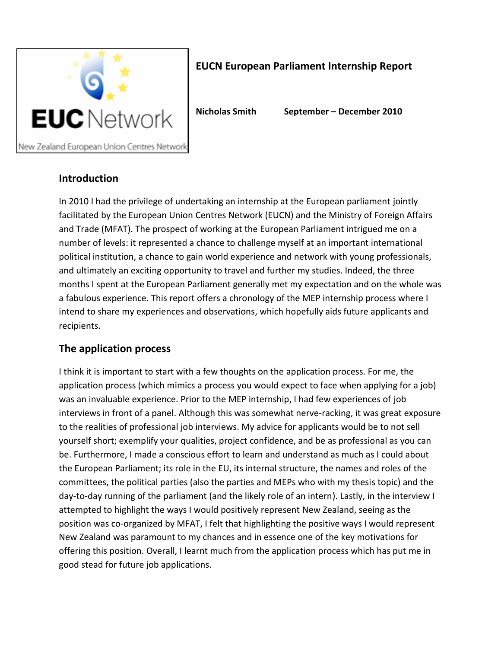

# **EUCN European Parliament Internship Report**

**Nicholas Smith September – December 2010**

## **Introduction**

In 2010 I had the privilege of undertaking an internship at the European parliament jointly facilitated by the European Union Centres Network (EUCN) and the Ministry of Foreign Affairs and Trade (MFAT). The prospect of working at the European Parliament intrigued me on a number of levels: it represented a chance to challenge myself at an important international political institution, a chance to gain world experience and network with young professionals, and ultimately an exciting opportunity to travel and further my studies. Indeed, the three months I spent at the European Parliament generally met my expectation and on the whole was a fabulous experience. This report offers a chronology of the MEP internship process where I intend to share my experiences and observations, which hopefully aids future applicants and recipients.

## **The application process**

I think it is important to start with a few thoughts on the application process. For me, the application process (which mimics a process you would expect to face when applying for a job) was an invaluable experience. Prior to the MEP internship, I had few experiences of job interviews in front of a panel. Although this was somewhat nerve-racking, it was great exposure to the realities of professional job interviews. My advice for applicants would be to not sell yourself short; exemplify your qualities, project confidence, and be as professional as you can be. Furthermore, I made a conscious effort to learn and understand as much as I could about the European Parliament; its role in the EU, its internal structure, the names and roles of the committees, the political parties (also the parties and MEPs who with my thesis topic) and the day-to-day running of the parliament (and the likely role of an intern). Lastly, in the interview I attempted to highlight the ways I would positively represent New Zealand, seeing as the position was co-organized by MFAT, I felt that highlighting the positive ways I would represent New Zealand was paramount to my chances and in essence one of the key motivations for offering this position. Overall, I learnt much from the application process which has put me in good stead for future job applications.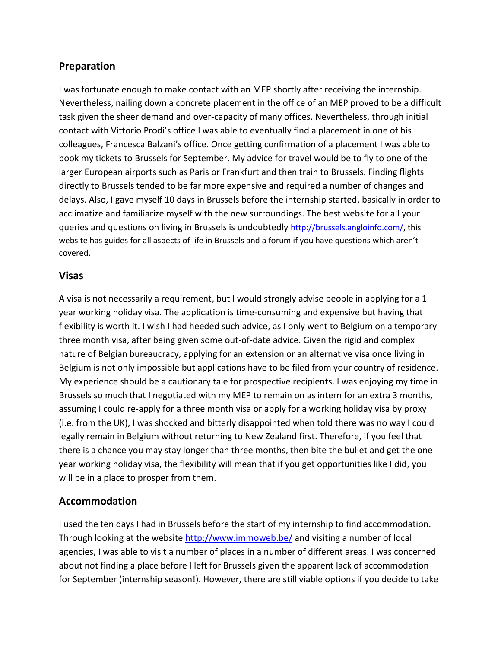## **Preparation**

I was fortunate enough to make contact with an MEP shortly after receiving the internship. Nevertheless, nailing down a concrete placement in the office of an MEP proved to be a difficult task given the sheer demand and over-capacity of many offices. Nevertheless, through initial contact with Vittorio Prodi's office I was able to eventually find a placement in one of his colleagues, Francesca Balzani's office. Once getting confirmation of a placement I was able to book my tickets to Brussels for September. My advice for travel would be to fly to one of the larger European airports such as Paris or Frankfurt and then train to Brussels. Finding flights directly to Brussels tended to be far more expensive and required a number of changes and delays. Also, I gave myself 10 days in Brussels before the internship started, basically in order to acclimatize and familiarize myself with the new surroundings. The best website for all your queries and questions on living in Brussels is undoubtedly [http://brussels.angloinfo.com/,](http://brussels.angloinfo.com/) this website has guides for all aspects of life in Brussels and a forum if you have questions which aren't covered.

### **Visas**

A visa is not necessarily a requirement, but I would strongly advise people in applying for a 1 year working holiday visa. The application is time-consuming and expensive but having that flexibility is worth it. I wish I had heeded such advice, as I only went to Belgium on a temporary three month visa, after being given some out-of-date advice. Given the rigid and complex nature of Belgian bureaucracy, applying for an extension or an alternative visa once living in Belgium is not only impossible but applications have to be filed from your country of residence. My experience should be a cautionary tale for prospective recipients. I was enjoying my time in Brussels so much that I negotiated with my MEP to remain on as intern for an extra 3 months, assuming I could re-apply for a three month visa or apply for a working holiday visa by proxy (i.e. from the UK), I was shocked and bitterly disappointed when told there was no way I could legally remain in Belgium without returning to New Zealand first. Therefore, if you feel that there is a chance you may stay longer than three months, then bite the bullet and get the one year working holiday visa, the flexibility will mean that if you get opportunities like I did, you will be in a place to prosper from them.

## **Accommodation**

I used the ten days I had in Brussels before the start of my internship to find accommodation. Through looking at the website<http://www.immoweb.be/> and visiting a number of local agencies, I was able to visit a number of places in a number of different areas. I was concerned about not finding a place before I left for Brussels given the apparent lack of accommodation for September (internship season!). However, there are still viable options if you decide to take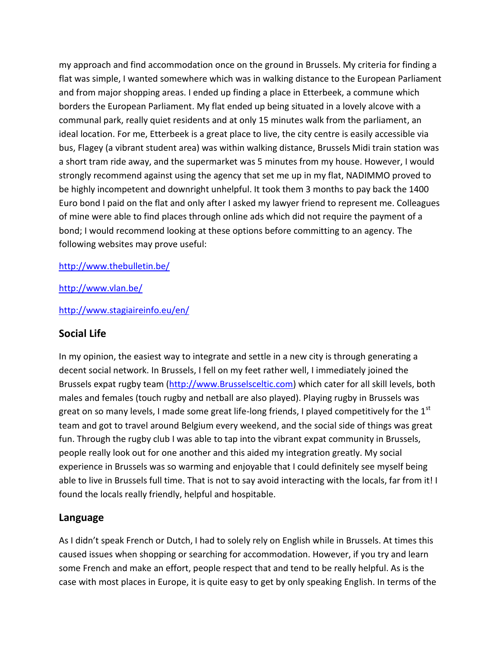my approach and find accommodation once on the ground in Brussels. My criteria for finding a flat was simple, I wanted somewhere which was in walking distance to the European Parliament and from major shopping areas. I ended up finding a place in Etterbeek, a commune which borders the European Parliament. My flat ended up being situated in a lovely alcove with a communal park, really quiet residents and at only 15 minutes walk from the parliament, an ideal location. For me, Etterbeek is a great place to live, the city centre is easily accessible via bus, Flagey (a vibrant student area) was within walking distance, Brussels Midi train station was a short tram ride away, and the supermarket was 5 minutes from my house. However, I would strongly recommend against using the agency that set me up in my flat, NADIMMO proved to be highly incompetent and downright unhelpful. It took them 3 months to pay back the 1400 Euro bond I paid on the flat and only after I asked my lawyer friend to represent me. Colleagues of mine were able to find places through online ads which did not require the payment of a bond; I would recommend looking at these options before committing to an agency. The following websites may prove useful:

#### <http://www.thebulletin.be/>

#### <http://www.vlan.be/>

<http://www.stagiaireinfo.eu/en/>

### **Social Life**

In my opinion, the easiest way to integrate and settle in a new city is through generating a decent social network. In Brussels, I fell on my feet rather well, I immediately joined the Brussels expat rugby team [\(http://www.Brusselsceltic.com\)](http://www.brusselsceltic.com/) which cater for all skill levels, both males and females (touch rugby and netball are also played). Playing rugby in Brussels was great on so many levels, I made some great life-long friends, I played competitively for the  $1<sup>st</sup>$ team and got to travel around Belgium every weekend, and the social side of things was great fun. Through the rugby club I was able to tap into the vibrant expat community in Brussels, people really look out for one another and this aided my integration greatly. My social experience in Brussels was so warming and enjoyable that I could definitely see myself being able to live in Brussels full time. That is not to say avoid interacting with the locals, far from it! I found the locals really friendly, helpful and hospitable.

#### **Language**

As I didn't speak French or Dutch, I had to solely rely on English while in Brussels. At times this caused issues when shopping or searching for accommodation. However, if you try and learn some French and make an effort, people respect that and tend to be really helpful. As is the case with most places in Europe, it is quite easy to get by only speaking English. In terms of the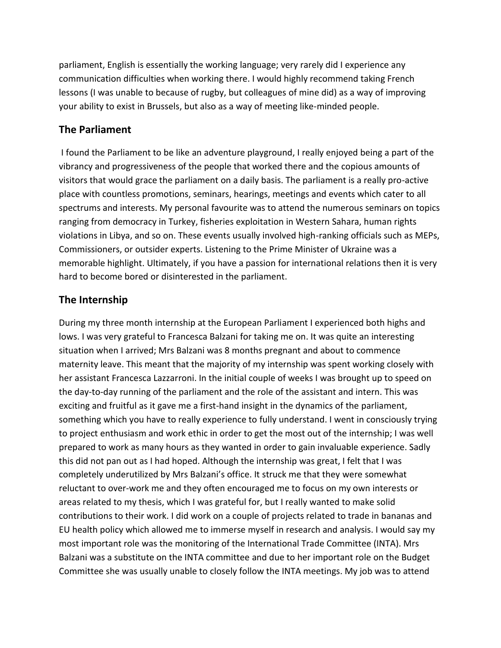parliament, English is essentially the working language; very rarely did I experience any communication difficulties when working there. I would highly recommend taking French lessons (I was unable to because of rugby, but colleagues of mine did) as a way of improving your ability to exist in Brussels, but also as a way of meeting like-minded people.

### **The Parliament**

I found the Parliament to be like an adventure playground, I really enjoyed being a part of the vibrancy and progressiveness of the people that worked there and the copious amounts of visitors that would grace the parliament on a daily basis. The parliament is a really pro-active place with countless promotions, seminars, hearings, meetings and events which cater to all spectrums and interests. My personal favourite was to attend the numerous seminars on topics ranging from democracy in Turkey, fisheries exploitation in Western Sahara, human rights violations in Libya, and so on. These events usually involved high-ranking officials such as MEPs, Commissioners, or outsider experts. Listening to the Prime Minister of Ukraine was a memorable highlight. Ultimately, if you have a passion for international relations then it is very hard to become bored or disinterested in the parliament.

# **The Internship**

During my three month internship at the European Parliament I experienced both highs and lows. I was very grateful to Francesca Balzani for taking me on. It was quite an interesting situation when I arrived; Mrs Balzani was 8 months pregnant and about to commence maternity leave. This meant that the majority of my internship was spent working closely with her assistant Francesca Lazzarroni. In the initial couple of weeks I was brought up to speed on the day-to-day running of the parliament and the role of the assistant and intern. This was exciting and fruitful as it gave me a first-hand insight in the dynamics of the parliament, something which you have to really experience to fully understand. I went in consciously trying to project enthusiasm and work ethic in order to get the most out of the internship; I was well prepared to work as many hours as they wanted in order to gain invaluable experience. Sadly this did not pan out as I had hoped. Although the internship was great, I felt that I was completely underutilized by Mrs Balzani's office. It struck me that they were somewhat reluctant to over-work me and they often encouraged me to focus on my own interests or areas related to my thesis, which I was grateful for, but I really wanted to make solid contributions to their work. I did work on a couple of projects related to trade in bananas and EU health policy which allowed me to immerse myself in research and analysis. I would say my most important role was the monitoring of the International Trade Committee (INTA). Mrs Balzani was a substitute on the INTA committee and due to her important role on the Budget Committee she was usually unable to closely follow the INTA meetings. My job was to attend